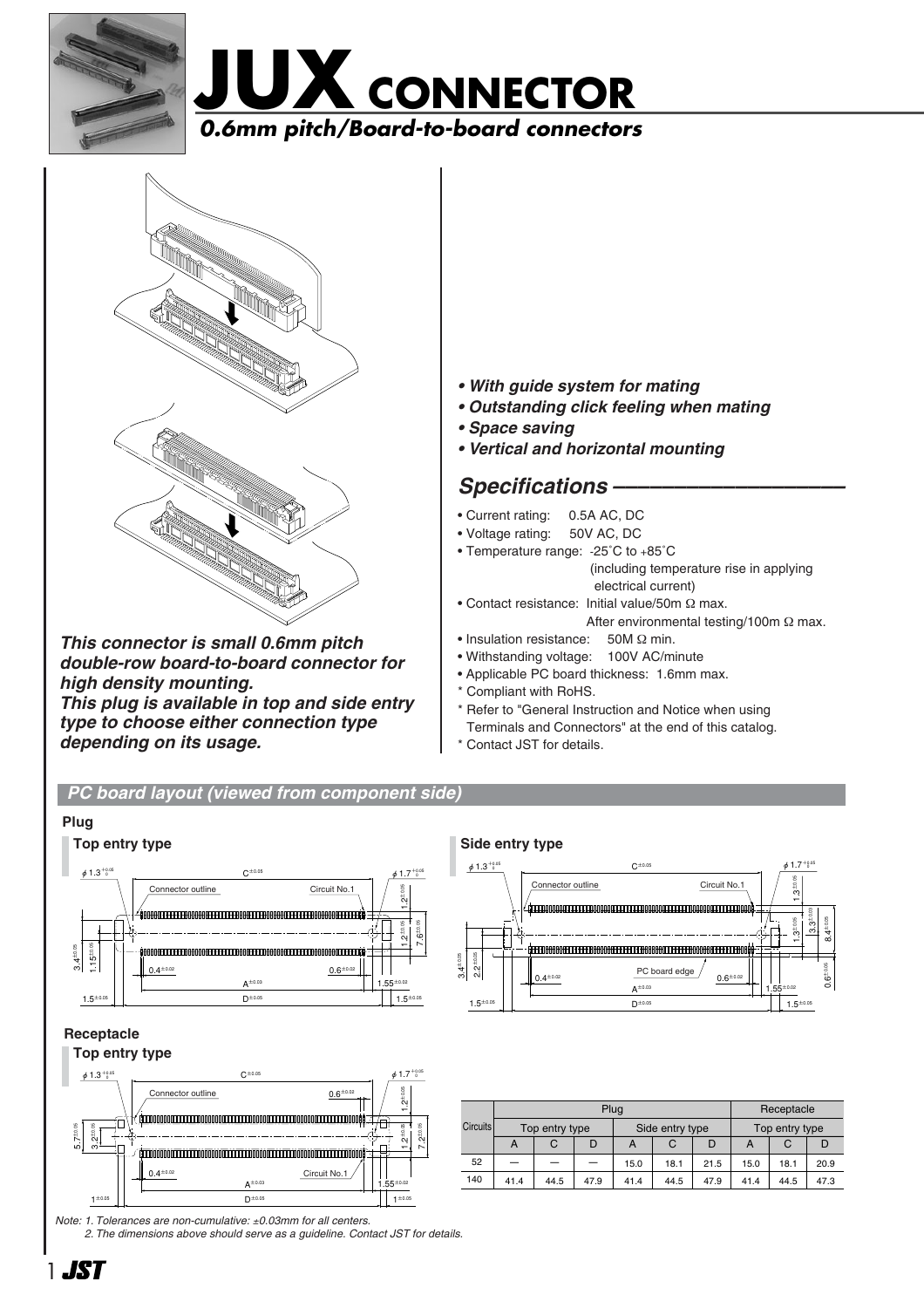





*This connector is small 0.6mm pitch double-row board-to-board connector for high density mounting. This plug is available in top and side entry type to choose either connection type depending on its usage.*

- *With guide system for mating*
- *Outstanding click feeling when mating*
- *Space saving*
- *Vertical and horizontal mounting*

## Specifications -

- Current rating: 0.5A AC, DC
- Voltage rating: 50V AC, DC
- Temperature range: -25˚C to +85˚C
	- (including temperature rise in applying electrical current)
- Contact resistance: Initial value/50m Ω max. After environmental testing/100m Ω max.
- Insulation resistance: 50M Ω min.
- Withstanding voltage: 100V AC/minute
- Applicable PC board thickness: 1.6mm max.
- \* Compliant with RoHS.
- \* Refer to "General Instruction and Notice when using Terminals and Connectors" at the end of this catalog.
- \* Contact JST for details.

### *PC board layout (viewed from component side)*



*Note: 1. Tolerances are non-cumulative:* ±*0.03mm for all centers.*

*2. The dimensions above should serve as a guideline. Contact JST for details.*